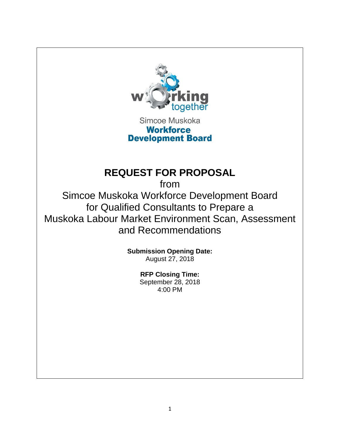

Simcoe Muskoka **Workforce Development Board** 

# **REQUEST FOR PROPOSAL**

from Simcoe Muskoka Workforce Development Board for Qualified Consultants to Prepare a Muskoka Labour Market Environment Scan, Assessment and Recommendations

> **Submission Opening Date:** August 27, 2018

> > **RFP Closing Time:** September 28, 2018 4:00 PM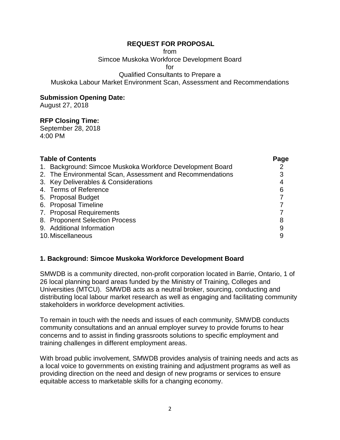from

Simcoe Muskoka Workforce Development Board

for

Qualified Consultants to Prepare a

Muskoka Labour Market Environment Scan, Assessment and Recommendations

## **Submission Opening Date:**

August 27, 2018

# **RFP Closing Time:**

September 28, 2018 4:00 PM

| <b>Table of Contents</b>                                  | Page |
|-----------------------------------------------------------|------|
| 1. Background: Simcoe Muskoka Workforce Development Board |      |
| 2. The Environmental Scan, Assessment and Recommendations |      |
| 3. Key Deliverables & Considerations                      | 4    |
| 4. Terms of Reference                                     | 6    |
| 5. Proposal Budget                                        |      |
| 6. Proposal Timeline                                      |      |
| 7. Proposal Requirements                                  |      |
| 8. Proponent Selection Process                            | 8    |
| 9. Additional Information                                 | 9    |
| 10. Miscellaneous                                         |      |

## **1. Background: Simcoe Muskoka Workforce Development Board**

SMWDB is a community directed, non-profit corporation located in Barrie, Ontario, 1 of 26 local planning board areas funded by the Ministry of Training, Colleges and Universities (MTCU). SMWDB acts as a neutral broker, sourcing, conducting and distributing local labour market research as well as engaging and facilitating community stakeholders in workforce development activities.

To remain in touch with the needs and issues of each community, SMWDB conducts community consultations and an annual employer survey to provide forums to hear concerns and to assist in finding grassroots solutions to specific employment and training challenges in different employment areas.

With broad public involvement, SMWDB provides analysis of training needs and acts as a local voice to governments on existing training and adjustment programs as well as providing direction on the need and design of new programs or services to ensure equitable access to marketable skills for a changing economy.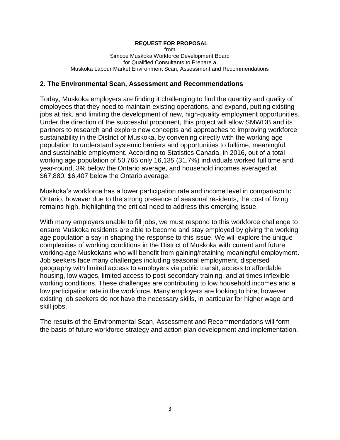from Simcoe Muskoka Workforce Development Board for Qualified Consultants to Prepare a Muskoka Labour Market Environment Scan, Assessment and Recommendations

## **2. The Environmental Scan, Assessment and Recommendations**

Today, Muskoka employers are finding it challenging to find the quantity and quality of employees that they need to maintain existing operations, and expand, putting existing jobs at risk, and limiting the development of new, high-quality employment opportunities. Under the direction of the successful proponent, this project will allow SMWDB and its partners to research and explore new concepts and approaches to improving workforce sustainability in the District of Muskoka, by convening directly with the working age population to understand systemic barriers and opportunities to fulltime, meaningful, and sustainable employment. According to Statistics Canada, in 2016, out of a total working age population of 50,765 only 16,135 (31.7%) individuals worked full time and year-round, 3% below the Ontario average, and household incomes averaged at \$67,880, \$6,407 below the Ontario average.

Muskoka's workforce has a lower participation rate and income level in comparison to Ontario, however due to the strong presence of seasonal residents, the cost of living remains high, highlighting the critical need to address this emerging issue.

With many employers unable to fill jobs, we must respond to this workforce challenge to ensure Muskoka residents are able to become and stay employed by giving the working age population a say in shaping the response to this issue. We will explore the unique complexities of working conditions in the District of Muskoka with current and future working-age Muskokans who will benefit from gaining/retaining meaningful employment. Job seekers face many challenges including seasonal employment, dispersed geography with limited access to employers via public transit, access to affordable housing, low wages, limited access to post-secondary training, and at times inflexible working conditions. These challenges are contributing to low household incomes and a low participation rate in the workforce. Many employers are looking to hire, however existing job seekers do not have the necessary skills, in particular for higher wage and skill jobs.

The results of the Environmental Scan, Assessment and Recommendations will form the basis of future workforce strategy and action plan development and implementation.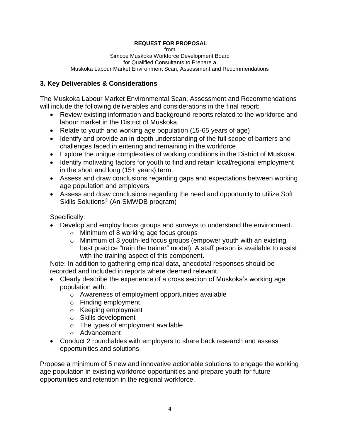from

Simcoe Muskoka Workforce Development Board for Qualified Consultants to Prepare a Muskoka Labour Market Environment Scan, Assessment and Recommendations

# **3. Key Deliverables & Considerations**

The Muskoka Labour Market Environmental Scan, Assessment and Recommendations will include the following deliverables and considerations in the final report:

- Review existing information and background reports related to the workforce and labour market in the District of Muskoka.
- Relate to youth and working age population (15-65 years of age)
- Identify and provide an in-depth understanding of the full scope of barriers and challenges faced in entering and remaining in the workforce
- Explore the unique complexities of working conditions in the District of Muskoka.
- Identify motivating factors for youth to find and retain local/regional employment in the short and long (15+ years) term.
- Assess and draw conclusions regarding gaps and expectations between working age population and employers.
- Assess and draw conclusions regarding the need and opportunity to utilize Soft Skills Solutions© (An SMWDB program)

Specifically:

- Develop and employ focus groups and surveys to understand the environment.
	- o Minimum of 8 working age focus groups
	- o Minimum of 3 youth-led focus groups (empower youth with an existing best practice "train the trainer" model). A staff person is available to assist with the training aspect of this component.

Note: In addition to gathering empirical data, anecdotal responses should be recorded and included in reports where deemed relevant.

- Clearly describe the experience of a cross section of Muskoka's working age population with:
	- o Awareness of employment opportunities available
	- o Finding employment
	- o Keeping employment
	- o Skills development
	- $\circ$  The types of employment available
	- o Advancement
- Conduct 2 roundtables with employers to share back research and assess opportunities and solutions.

Propose a minimum of 5 new and innovative actionable solutions to engage the working age population in existing workforce opportunities and prepare youth for future opportunities and retention in the regional workforce.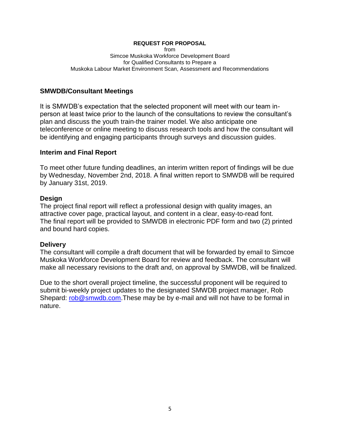from Simcoe Muskoka Workforce Development Board for Qualified Consultants to Prepare a Muskoka Labour Market Environment Scan, Assessment and Recommendations

#### **SMWDB/Consultant Meetings**

It is SMWDB's expectation that the selected proponent will meet with our team inperson at least twice prior to the launch of the consultations to review the consultant's plan and discuss the youth train-the trainer model. We also anticipate one teleconference or online meeting to discuss research tools and how the consultant will be identifying and engaging participants through surveys and discussion guides.

#### **Interim and Final Report**

To meet other future funding deadlines, an interim written report of findings will be due by Wednesday, November 2nd, 2018. A final written report to SMWDB will be required by January 31st, 2019.

#### **Design**

The project final report will reflect a professional design with quality images, an attractive cover page, practical layout, and content in a clear, easy-to-read font. The final report will be provided to SMWDB in electronic PDF form and two (2) printed and bound hard copies.

#### **Delivery**

The consultant will compile a draft document that will be forwarded by email to Simcoe Muskoka Workforce Development Board for review and feedback. The consultant will make all necessary revisions to the draft and, on approval by SMWDB, will be finalized.

Due to the short overall project timeline, the successful proponent will be required to submit bi-weekly project updates to the designated SMWDB project manager, Rob Shepard: [rob@smwdb.com.](mailto:rob@smwdb.com)These may be by e-mail and will not have to be formal in nature.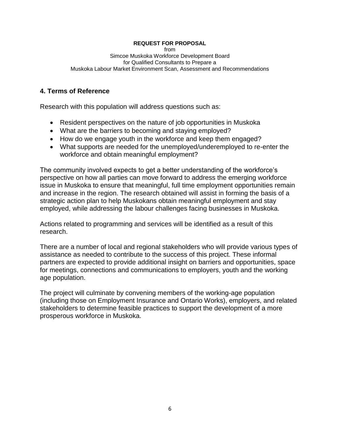from Simcoe Muskoka Workforce Development Board for Qualified Consultants to Prepare a Muskoka Labour Market Environment Scan, Assessment and Recommendations

## **4. Terms of Reference**

Research with this population will address questions such as:

- Resident perspectives on the nature of job opportunities in Muskoka
- What are the barriers to becoming and staying employed?
- How do we engage youth in the workforce and keep them engaged?
- What supports are needed for the unemployed/underemployed to re-enter the workforce and obtain meaningful employment?

The community involved expects to get a better understanding of the workforce's perspective on how all parties can move forward to address the emerging workforce issue in Muskoka to ensure that meaningful, full time employment opportunities remain and increase in the region. The research obtained will assist in forming the basis of a strategic action plan to help Muskokans obtain meaningful employment and stay employed, while addressing the labour challenges facing businesses in Muskoka.

Actions related to programming and services will be identified as a result of this research.

There are a number of local and regional stakeholders who will provide various types of assistance as needed to contribute to the success of this project. These informal partners are expected to provide additional insight on barriers and opportunities, space for meetings, connections and communications to employers, youth and the working age population.

The project will culminate by convening members of the working-age population (including those on Employment Insurance and Ontario Works), employers, and related stakeholders to determine feasible practices to support the development of a more prosperous workforce in Muskoka.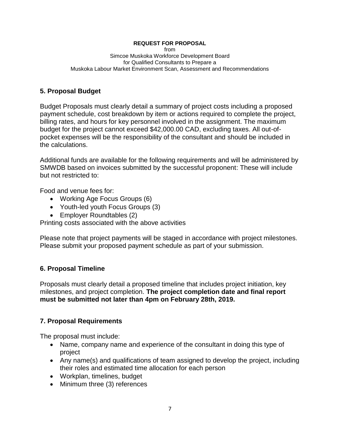from Simcoe Muskoka Workforce Development Board for Qualified Consultants to Prepare a Muskoka Labour Market Environment Scan, Assessment and Recommendations

# **5. Proposal Budget**

Budget Proposals must clearly detail a summary of project costs including a proposed payment schedule, cost breakdown by item or actions required to complete the project, billing rates, and hours for key personnel involved in the assignment. The maximum budget for the project cannot exceed \$42,000.00 CAD, excluding taxes. All out-ofpocket expenses will be the responsibility of the consultant and should be included in the calculations.

Additional funds are available for the following requirements and will be administered by SMWDB based on invoices submitted by the successful proponent: These will include but not restricted to:

Food and venue fees for:

- Working Age Focus Groups (6)
- Youth-led youth Focus Groups (3)
- Employer Roundtables (2)

Printing costs associated with the above activities

Please note that project payments will be staged in accordance with project milestones. Please submit your proposed payment schedule as part of your submission.

# **6. Proposal Timeline**

Proposals must clearly detail a proposed timeline that includes project initiation, key milestones, and project completion. **The project completion date and final report must be submitted not later than 4pm on February 28th, 2019.**

# **7. Proposal Requirements**

The proposal must include:

- Name, company name and experience of the consultant in doing this type of project
- Any name(s) and qualifications of team assigned to develop the project, including their roles and estimated time allocation for each person
- Workplan, timelines, budget
- Minimum three (3) references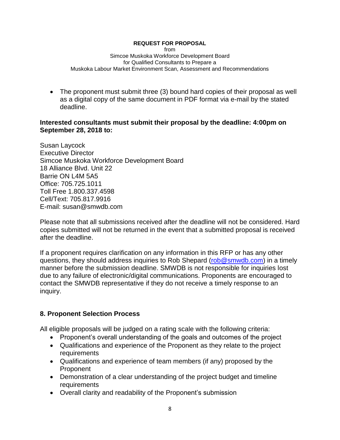from Simcoe Muskoka Workforce Development Board for Qualified Consultants to Prepare a Muskoka Labour Market Environment Scan, Assessment and Recommendations

• The proponent must submit three (3) bound hard copies of their proposal as well as a digital copy of the same document in PDF format via e-mail by the stated deadline.

## **Interested consultants must submit their proposal by the deadline: 4:00pm on September 28, 2018 to:**

Susan Laycock Executive Director Simcoe Muskoka Workforce Development Board 18 Alliance Blvd. Unit 22 Barrie ON L4M 5A5 Office: 705.725.1011 Toll Free 1.800.337.4598 Cell/Text: 705.817.9916 E-mail: susan@smwdb.com

Please note that all submissions received after the deadline will not be considered. Hard copies submitted will not be returned in the event that a submitted proposal is received after the deadline.

If a proponent requires clarification on any information in this RFP or has any other questions, they should address inquiries to Rob Shepard (rob@smwdb.com) in a timely manner before the submission deadline. SMWDB is not responsible for inquiries lost due to any failure of electronic/digital communications. Proponents are encouraged to contact the SMWDB representative if they do not receive a timely response to an inquiry.

# **8. Proponent Selection Process**

All eligible proposals will be judged on a rating scale with the following criteria:

- Proponent's overall understanding of the goals and outcomes of the project
- Qualifications and experience of the Proponent as they relate to the project requirements
- Qualifications and experience of team members (if any) proposed by the Proponent
- Demonstration of a clear understanding of the project budget and timeline requirements
- Overall clarity and readability of the Proponent's submission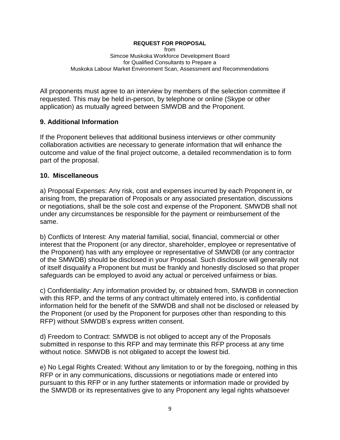from Simcoe Muskoka Workforce Development Board for Qualified Consultants to Prepare a Muskoka Labour Market Environment Scan, Assessment and Recommendations

All proponents must agree to an interview by members of the selection committee if requested. This may be held in-person, by telephone or online (Skype or other application) as mutually agreed between SMWDB and the Proponent.

## **9. Additional Information**

If the Proponent believes that additional business interviews or other community collaboration activities are necessary to generate information that will enhance the outcome and value of the final project outcome, a detailed recommendation is to form part of the proposal.

## **10. Miscellaneous**

a) Proposal Expenses: Any risk, cost and expenses incurred by each Proponent in, or arising from, the preparation of Proposals or any associated presentation, discussions or negotiations, shall be the sole cost and expense of the Proponent. SMWDB shall not under any circumstances be responsible for the payment or reimbursement of the same.

b) Conflicts of Interest: Any material familial, social, financial, commercial or other interest that the Proponent (or any director, shareholder, employee or representative of the Proponent) has with any employee or representative of SMWDB (or any contractor of the SMWDB) should be disclosed in your Proposal. Such disclosure will generally not of itself disqualify a Proponent but must be frankly and honestly disclosed so that proper safeguards can be employed to avoid any actual or perceived unfairness or bias.

c) Confidentiality: Any information provided by, or obtained from, SMWDB in connection with this RFP, and the terms of any contract ultimately entered into, is confidential information held for the benefit of the SMWDB and shall not be disclosed or released by the Proponent (or used by the Proponent for purposes other than responding to this RFP) without SMWDB's express written consent.

d) Freedom to Contract: SMWDB is not obliged to accept any of the Proposals submitted in response to this RFP and may terminate this RFP process at any time without notice. SMWDB is not obligated to accept the lowest bid.

e) No Legal Rights Created: Without any limitation to or by the foregoing, nothing in this RFP or in any communications, discussions or negotiations made or entered into pursuant to this RFP or in any further statements or information made or provided by the SMWDB or its representatives give to any Proponent any legal rights whatsoever